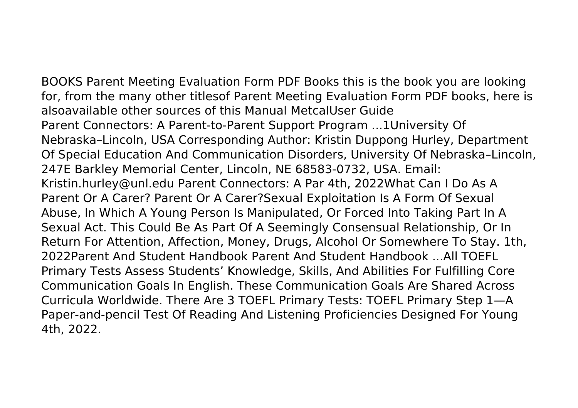BOOKS Parent Meeting Evaluation Form PDF Books this is the book you are looking for, from the many other titlesof Parent Meeting Evaluation Form PDF books, here is alsoavailable other sources of this Manual MetcalUser Guide Parent Connectors: A Parent-to-Parent Support Program ...1University Of Nebraska–Lincoln, USA Corresponding Author: Kristin Duppong Hurley, Department Of Special Education And Communication Disorders, University Of Nebraska–Lincoln, 247E Barkley Memorial Center, Lincoln, NE 68583-0732, USA. Email: Kristin.hurley@unl.edu Parent Connectors: A Par 4th, 2022What Can I Do As A Parent Or A Carer? Parent Or A Carer?Sexual Exploitation Is A Form Of Sexual Abuse, In Which A Young Person Is Manipulated, Or Forced Into Taking Part In A Sexual Act. This Could Be As Part Of A Seemingly Consensual Relationship, Or In Return For Attention, Affection, Money, Drugs, Alcohol Or Somewhere To Stay. 1th, 2022Parent And Student Handbook Parent And Student Handbook ...All TOEFL Primary Tests Assess Students' Knowledge, Skills, And Abilities For Fulfilling Core Communication Goals In English. These Communication Goals Are Shared Across Curricula Worldwide. There Are 3 TOEFL Primary Tests: TOEFL Primary Step 1—A Paper-and-pencil Test Of Reading And Listening Proficiencies Designed For Young 4th, 2022.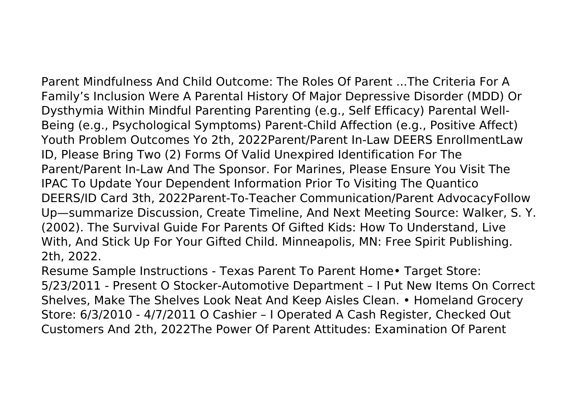Parent Mindfulness And Child Outcome: The Roles Of Parent ...The Criteria For A Family's Inclusion Were A Parental History Of Major Depressive Disorder (MDD) Or Dysthymia Within Mindful Parenting Parenting (e.g., Self Efficacy) Parental Well-Being (e.g., Psychological Symptoms) Parent-Child Affection (e.g., Positive Affect) Youth Problem Outcomes Yo 2th, 2022Parent/Parent In-Law DEERS EnrollmentLaw ID, Please Bring Two (2) Forms Of Valid Unexpired Identification For The Parent/Parent In-Law And The Sponsor. For Marines, Please Ensure You Visit The IPAC To Update Your Dependent Information Prior To Visiting The Quantico DEERS/ID Card 3th, 2022Parent-To-Teacher Communication/Parent AdvocacyFollow Up—summarize Discussion, Create Timeline, And Next Meeting Source: Walker, S. Y. (2002). The Survival Guide For Parents Of Gifted Kids: How To Understand, Live With, And Stick Up For Your Gifted Child. Minneapolis, MN: Free Spirit Publishing. 2th, 2022.

Resume Sample Instructions - Texas Parent To Parent Home• Target Store: 5/23/2011 - Present O Stocker-Automotive Department – I Put New Items On Correct Shelves, Make The Shelves Look Neat And Keep Aisles Clean. • Homeland Grocery Store: 6/3/2010 - 4/7/2011 O Cashier – I Operated A Cash Register, Checked Out Customers And 2th, 2022The Power Of Parent Attitudes: Examination Of Parent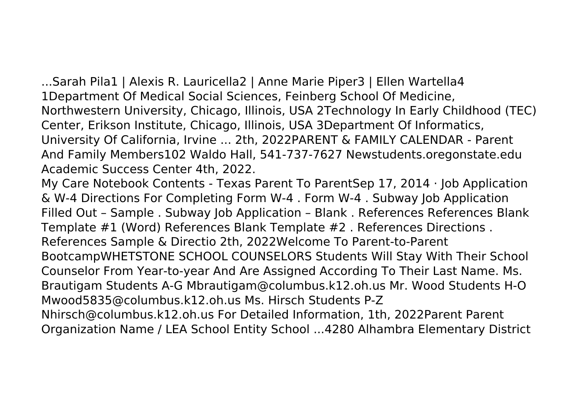...Sarah Pila1 | Alexis R. Lauricella2 | Anne Marie Piper3 | Ellen Wartella4 1Department Of Medical Social Sciences, Feinberg School Of Medicine, Northwestern University, Chicago, Illinois, USA 2Technology In Early Childhood (TEC) Center, Erikson Institute, Chicago, Illinois, USA 3Department Of Informatics, University Of California, Irvine ... 2th, 2022PARENT & FAMILY CALENDAR - Parent And Family Members102 Waldo Hall, 541-737-7627 Newstudents.oregonstate.edu Academic Success Center 4th, 2022.

My Care Notebook Contents - Texas Parent To ParentSep 17, 2014 · Job Application & W-4 Directions For Completing Form W-4 . Form W-4 . Subway Job Application Filled Out – Sample . Subway Job Application – Blank . References References Blank Template #1 (Word) References Blank Template #2 . References Directions . References Sample & Directio 2th, 2022Welcome To Parent-to-Parent BootcampWHETSTONE SCHOOL COUNSELORS Students Will Stay With Their School Counselor From Year-to-year And Are Assigned According To Their Last Name. Ms. Brautigam Students A-G Mbrautigam@columbus.k12.oh.us Mr. Wood Students H-O Mwood5835@columbus.k12.oh.us Ms. Hirsch Students P-Z Nhirsch@columbus.k12.oh.us For Detailed Information, 1th, 2022Parent Parent Organization Name / LEA School Entity School ...4280 Alhambra Elementary District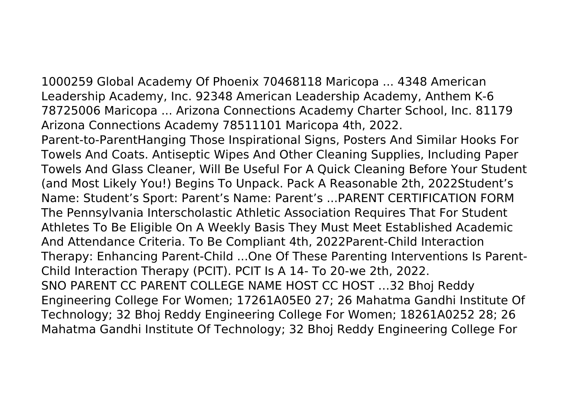1000259 Global Academy Of Phoenix 70468118 Maricopa ... 4348 American Leadership Academy, Inc. 92348 American Leadership Academy, Anthem K-6 78725006 Maricopa ... Arizona Connections Academy Charter School, Inc. 81179 Arizona Connections Academy 78511101 Maricopa 4th, 2022.

Parent-to-ParentHanging Those Inspirational Signs, Posters And Similar Hooks For Towels And Coats. Antiseptic Wipes And Other Cleaning Supplies, Including Paper Towels And Glass Cleaner, Will Be Useful For A Quick Cleaning Before Your Student (and Most Likely You!) Begins To Unpack. Pack A Reasonable 2th, 2022Student's Name: Student's Sport: Parent's Name: Parent's ...PARENT CERTIFICATION FORM The Pennsylvania Interscholastic Athletic Association Requires That For Student Athletes To Be Eligible On A Weekly Basis They Must Meet Established Academic And Attendance Criteria. To Be Compliant 4th, 2022Parent-Child Interaction Therapy: Enhancing Parent-Child ...One Of These Parenting Interventions Is Parent-Child Interaction Therapy (PCIT). PCIT Is A 14- To 20-we 2th, 2022. SNO PARENT CC PARENT COLLEGE NAME HOST CC HOST …32 Bhoj Reddy Engineering College For Women; 17261A05E0 27; 26 Mahatma Gandhi Institute Of Technology; 32 Bhoj Reddy Engineering College For Women; 18261A0252 28; 26 Mahatma Gandhi Institute Of Technology; 32 Bhoj Reddy Engineering College For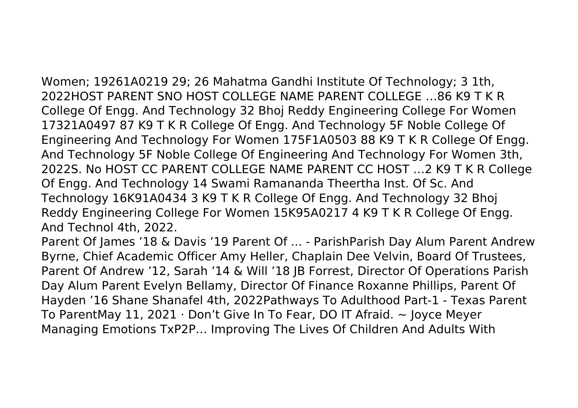Women; 19261A0219 29; 26 Mahatma Gandhi Institute Of Technology; 3 1th, 2022HOST PARENT SNO HOST COLLEGE NAME PARENT COLLEGE …86 K9 T K R College Of Engg. And Technology 32 Bhoj Reddy Engineering College For Women 17321A0497 87 K9 T K R College Of Engg. And Technology 5F Noble College Of Engineering And Technology For Women 175F1A0503 88 K9 T K R College Of Engg. And Technology 5F Noble College Of Engineering And Technology For Women 3th, 2022S. No HOST CC PARENT COLLEGE NAME PARENT CC HOST …2 K9 T K R College Of Engg. And Technology 14 Swami Ramananda Theertha Inst. Of Sc. And Technology 16K91A0434 3 K9 T K R College Of Engg. And Technology 32 Bhoj Reddy Engineering College For Women 15K95A0217 4 K9 T K R College Of Engg. And Technol 4th, 2022.

Parent Of James '18 & Davis '19 Parent Of ... - ParishParish Day Alum Parent Andrew Byrne, Chief Academic Officer Amy Heller, Chaplain Dee Velvin, Board Of Trustees, Parent Of Andrew '12, Sarah '14 & Will '18 JB Forrest, Director Of Operations Parish Day Alum Parent Evelyn Bellamy, Director Of Finance Roxanne Phillips, Parent Of Hayden '16 Shane Shanafel 4th, 2022Pathways To Adulthood Part-1 - Texas Parent To ParentMay 11, 2021 · Don't Give In To Fear, DO IT Afraid.  $\sim$  Joyce Meyer Managing Emotions TxP2P… Improving The Lives Of Children And Adults With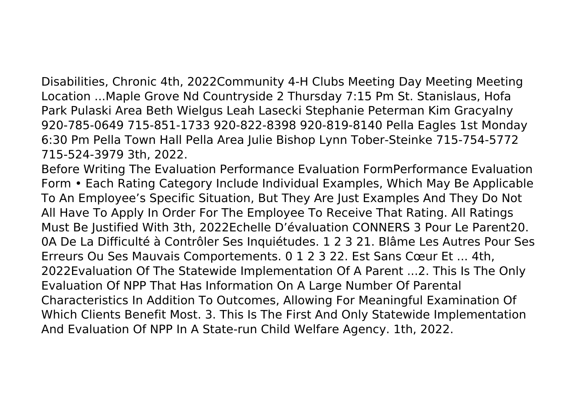Disabilities, Chronic 4th, 2022Community 4-H Clubs Meeting Day Meeting Meeting Location ...Maple Grove Nd Countryside 2 Thursday 7:15 Pm St. Stanislaus, Hofa Park Pulaski Area Beth Wielgus Leah Lasecki Stephanie Peterman Kim Gracyalny 920-785-0649 715-851-1733 920-822-8398 920-819-8140 Pella Eagles 1st Monday 6:30 Pm Pella Town Hall Pella Area Julie Bishop Lynn Tober-Steinke 715-754-5772 715-524-3979 3th, 2022.

Before Writing The Evaluation Performance Evaluation FormPerformance Evaluation Form • Each Rating Category Include Individual Examples, Which May Be Applicable To An Employee's Specific Situation, But They Are Just Examples And They Do Not All Have To Apply In Order For The Employee To Receive That Rating. All Ratings Must Be Justified With 3th, 2022Echelle D'évaluation CONNERS 3 Pour Le Parent20. 0A De La Difficulté à Contrôler Ses Inquiétudes. 1 2 3 21. Blâme Les Autres Pour Ses Erreurs Ou Ses Mauvais Comportements. 0 1 2 3 22. Est Sans Cœur Et ... 4th, 2022Evaluation Of The Statewide Implementation Of A Parent ...2. This Is The Only Evaluation Of NPP That Has Information On A Large Number Of Parental Characteristics In Addition To Outcomes, Allowing For Meaningful Examination Of Which Clients Benefit Most. 3. This Is The First And Only Statewide Implementation And Evaluation Of NPP In A State-run Child Welfare Agency. 1th, 2022.